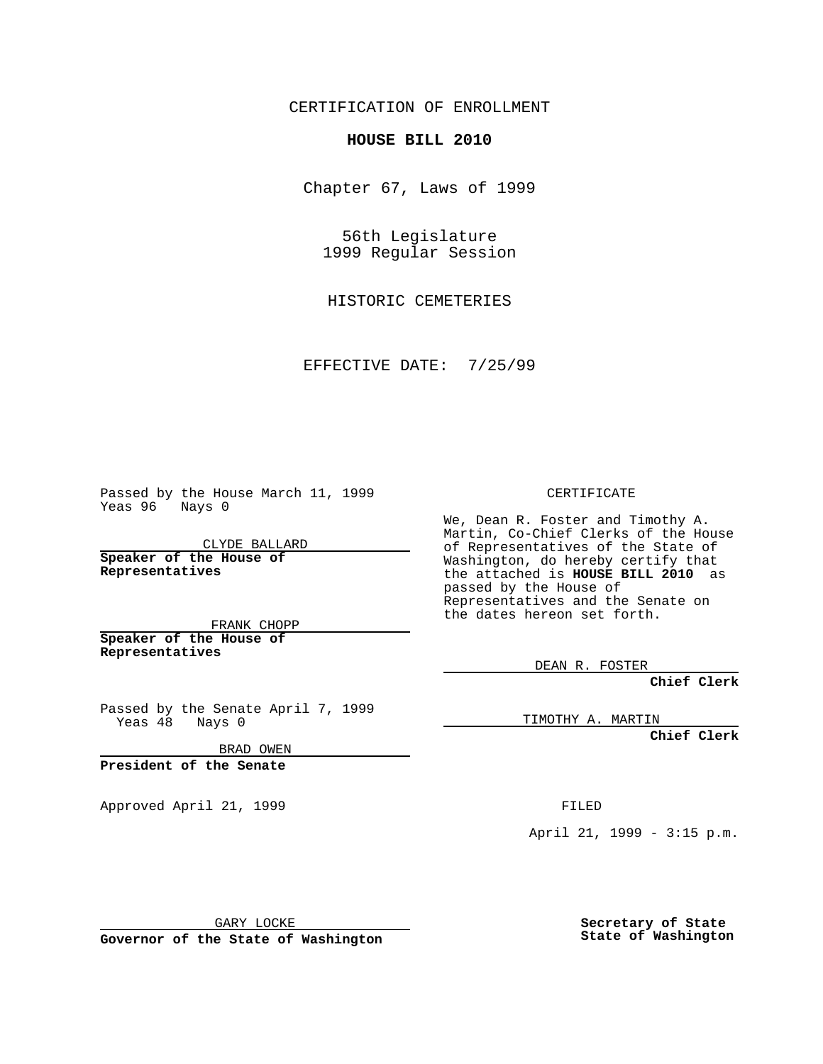CERTIFICATION OF ENROLLMENT

## **HOUSE BILL 2010**

Chapter 67, Laws of 1999

56th Legislature 1999 Regular Session

HISTORIC CEMETERIES

EFFECTIVE DATE: 7/25/99

Passed by the House March 11, 1999 Yeas 96 Nays 0

CLYDE BALLARD **Speaker of the House of Representatives**

FRANK CHOPP **Speaker of the House of Representatives**

Passed by the Senate April 7, 1999 Yeas 48 Nays 0

BRAD OWEN

**President of the Senate**

Approved April 21, 1999 FILED

CERTIFICATE

We, Dean R. Foster and Timothy A. Martin, Co-Chief Clerks of the House of Representatives of the State of Washington, do hereby certify that the attached is **HOUSE BILL 2010** as passed by the House of Representatives and the Senate on the dates hereon set forth.

DEAN R. FOSTER

**Chief Clerk**

TIMOTHY A. MARTIN

**Chief Clerk**

April 21, 1999 - 3:15 p.m.

GARY LOCKE

**Governor of the State of Washington**

**Secretary of State State of Washington**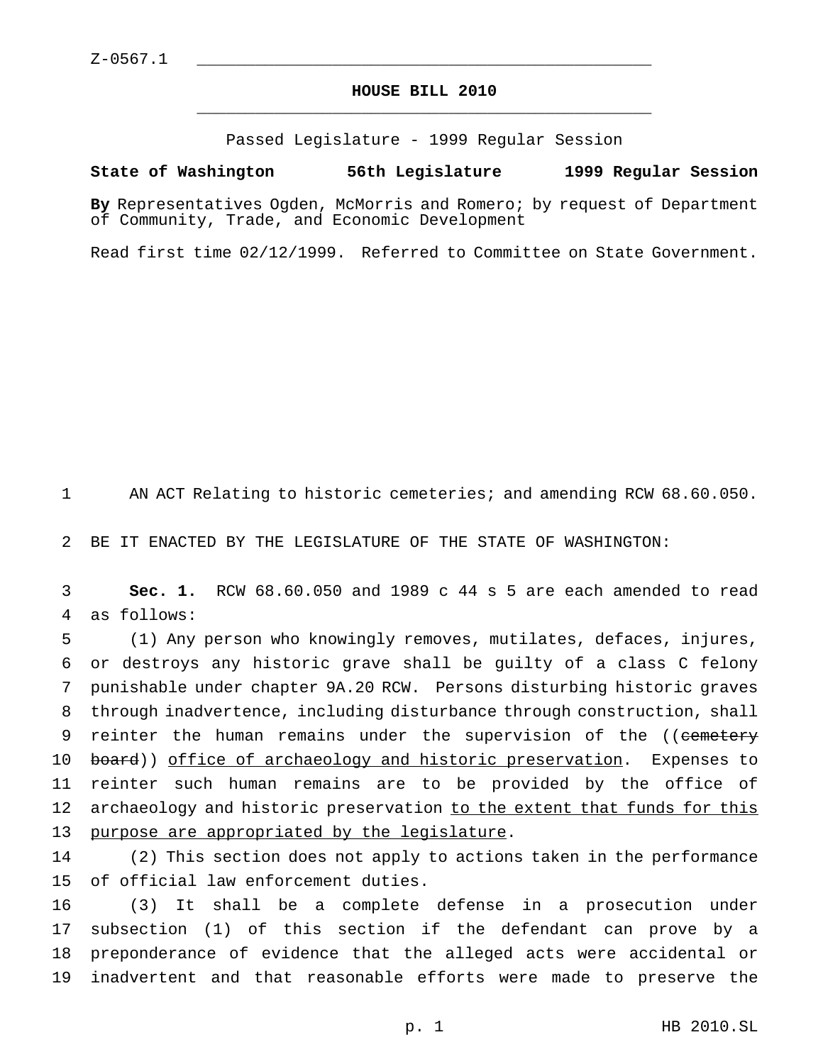## **HOUSE BILL 2010** \_\_\_\_\_\_\_\_\_\_\_\_\_\_\_\_\_\_\_\_\_\_\_\_\_\_\_\_\_\_\_\_\_\_\_\_\_\_\_\_\_\_\_\_\_\_\_

Passed Legislature - 1999 Regular Session

## **State of Washington 56th Legislature 1999 Regular Session**

**By** Representatives Ogden, McMorris and Romero; by request of Department of Community, Trade, and Economic Development

Read first time 02/12/1999. Referred to Committee on State Government.

AN ACT Relating to historic cemeteries; and amending RCW 68.60.050.

BE IT ENACTED BY THE LEGISLATURE OF THE STATE OF WASHINGTON:

 **Sec. 1.** RCW 68.60.050 and 1989 c 44 s 5 are each amended to read as follows:

 (1) Any person who knowingly removes, mutilates, defaces, injures, or destroys any historic grave shall be guilty of a class C felony punishable under chapter 9A.20 RCW. Persons disturbing historic graves through inadvertence, including disturbance through construction, shall 9 reinter the human remains under the supervision of the ((cemetery 10 board)) office of archaeology and historic preservation. Expenses to reinter such human remains are to be provided by the office of archaeology and historic preservation to the extent that funds for this purpose are appropriated by the legislature.

 (2) This section does not apply to actions taken in the performance of official law enforcement duties.

 (3) It shall be a complete defense in a prosecution under subsection (1) of this section if the defendant can prove by a preponderance of evidence that the alleged acts were accidental or inadvertent and that reasonable efforts were made to preserve the